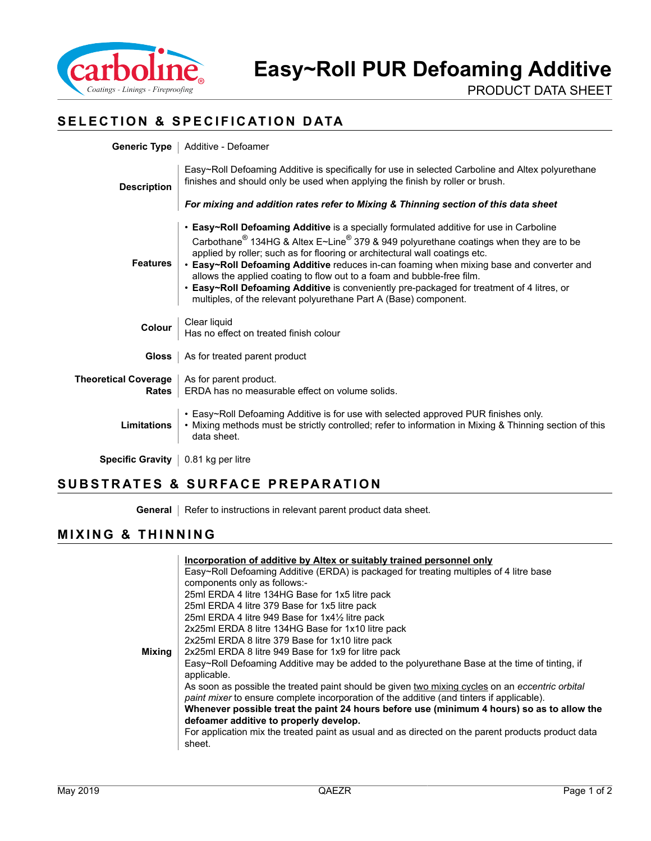

PRODUCT DATA SHEET

# **SELECTION & SPECIFICATION DATA**

|                                                               | <b>Generic Type</b>   Additive - Defoamer                                                                                                                                                                                                                                                                                                                                                                                                                                                                                                                                                                                     |
|---------------------------------------------------------------|-------------------------------------------------------------------------------------------------------------------------------------------------------------------------------------------------------------------------------------------------------------------------------------------------------------------------------------------------------------------------------------------------------------------------------------------------------------------------------------------------------------------------------------------------------------------------------------------------------------------------------|
| <b>Description</b>                                            | Easy~Roll Defoaming Additive is specifically for use in selected Carboline and Altex polyurethane<br>finishes and should only be used when applying the finish by roller or brush.                                                                                                                                                                                                                                                                                                                                                                                                                                            |
|                                                               | For mixing and addition rates refer to Mixing & Thinning section of this data sheet                                                                                                                                                                                                                                                                                                                                                                                                                                                                                                                                           |
| <b>Features</b>                                               | • Easy~Roll Defoaming Additive is a specially formulated additive for use in Carboline<br>Carbothane <sup>®</sup> 134HG & Altex E~Line <sup>®</sup> 379 & 949 polyurethane coatings when they are to be<br>applied by roller; such as for flooring or architectural wall coatings etc.<br>• Easy~Roll Defoaming Additive reduces in-can foaming when mixing base and converter and<br>allows the applied coating to flow out to a foam and bubble-free film.<br>• Easy~Roll Defoaming Additive is conveniently pre-packaged for treatment of 4 litres, or<br>multiples, of the relevant polyurethane Part A (Base) component. |
| Colour                                                        | Clear liquid<br>  Has no effect on treated finish colour                                                                                                                                                                                                                                                                                                                                                                                                                                                                                                                                                                      |
| Gloss                                                         | As for treated parent product                                                                                                                                                                                                                                                                                                                                                                                                                                                                                                                                                                                                 |
| <b>Theoretical Coverage</b>   As for parent product.<br>Rates | ERDA has no measurable effect on volume solids.                                                                                                                                                                                                                                                                                                                                                                                                                                                                                                                                                                               |
| <b>Limitations</b>                                            | • Easy~Roll Defoaming Additive is for use with selected approved PUR finishes only.<br>. Mixing methods must be strictly controlled; refer to information in Mixing & Thinning section of this<br>data sheet.                                                                                                                                                                                                                                                                                                                                                                                                                 |
| Specific Gravity   0.81 kg per litre                          |                                                                                                                                                                                                                                                                                                                                                                                                                                                                                                                                                                                                                               |

# **SUBSTRATES & SURFACE PREPARATION**

**General** | Refer to instructions in relevant parent product data sheet.

### **MIXING & THINNING**

|        | Incorporation of additive by Altex or suitably trained personnel only                              |
|--------|----------------------------------------------------------------------------------------------------|
|        | Easy~Roll Defoaming Additive (ERDA) is packaged for treating multiples of 4 litre base             |
|        | components only as follows:-                                                                       |
|        | 25ml ERDA 4 litre 134HG Base for 1x5 litre pack                                                    |
|        | 25ml ERDA 4 litre 379 Base for 1x5 litre pack                                                      |
|        | 25ml ERDA 4 litre 949 Base for 1x41/2 litre pack                                                   |
|        | 2x25ml ERDA 8 litre 134HG Base for 1x10 litre pack                                                 |
|        | 2x25ml ERDA 8 litre 379 Base for 1x10 litre pack                                                   |
| Mixing | 2x25ml ERDA 8 litre 949 Base for 1x9 for litre pack                                                |
|        | Easy~Roll Defoaming Additive may be added to the polyurethane Base at the time of tinting, if      |
|        | applicable.                                                                                        |
|        | As soon as possible the treated paint should be given two mixing cycles on an eccentric orbital    |
|        | paint mixer to ensure complete incorporation of the additive (and tinters if applicable).          |
|        | Whenever possible treat the paint 24 hours before use (minimum 4 hours) so as to allow the         |
|        | defoamer additive to properly develop.                                                             |
|        | For application mix the treated paint as usual and as directed on the parent products product data |
|        | sheet.                                                                                             |
|        |                                                                                                    |